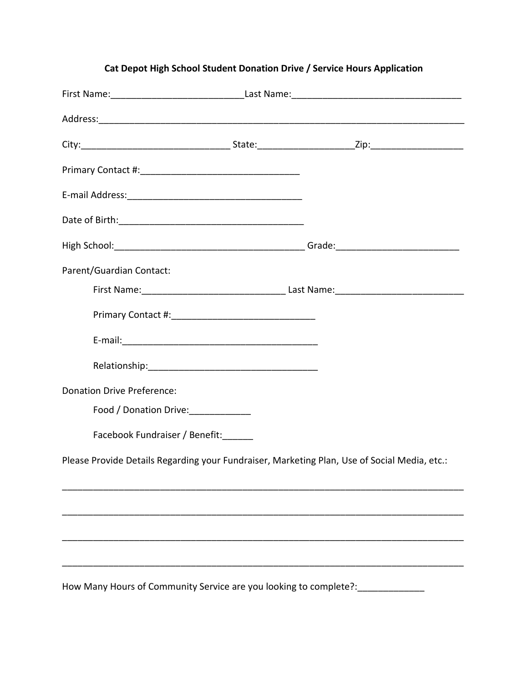| Parent/Guardian Contact:             |                                                                  |                                                                                              |
|--------------------------------------|------------------------------------------------------------------|----------------------------------------------------------------------------------------------|
|                                      |                                                                  |                                                                                              |
|                                      |                                                                  |                                                                                              |
|                                      |                                                                  |                                                                                              |
|                                      |                                                                  |                                                                                              |
| <b>Donation Drive Preference:</b>    |                                                                  |                                                                                              |
| Food / Donation Drive: _____________ |                                                                  |                                                                                              |
| Facebook Fundraiser / Benefit:______ |                                                                  |                                                                                              |
|                                      |                                                                  | Please Provide Details Regarding your Fundraiser, Marketing Plan, Use of Social Media, etc.: |
|                                      |                                                                  |                                                                                              |
|                                      |                                                                  |                                                                                              |
|                                      |                                                                  |                                                                                              |
|                                      |                                                                  |                                                                                              |
|                                      | How Many Hours of Community Service are vou looking to complete? |                                                                                              |

## **Cat Depot High School Student Donation Drive / Service Hours Application**

How Many Hours of Community Service are you looking to complete?: \_\_\_\_\_\_\_\_\_\_\_\_\_\_